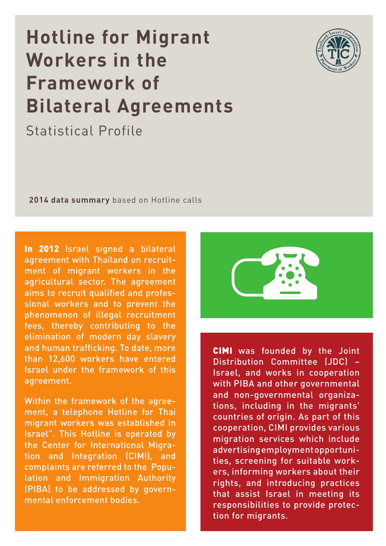# **Hotline for Migrant Workers in the Framework of Bilateral Agreements**

Statistical Profile



**2014 data summary** based on Hotline calls

In 2012 Israel signed a bilateral agreement with Thailand on recruitment of migrant workers in the agricultural sector. The agreement aims to recruit qualified and professional workers and to prevent the phenomenon of illegal recruitment fees, thereby contributing to the elimination of modern day slavery and human trafficking. To date, more than 12,600 workers have entered Israel under the framework of this agreement.

Within the framework of the agreement, a telephone Hotline for Thai migrant workers was established in Israel". This Hotline is operated by the Center for International Migration and Integration (CIMI), and complaints are referred to the Population and Immigration Authority (PIBA) to be addressed by governmental enforcement bodies.



CIMI was founded by the Joint Distribution Committee (JDC) – Israel, and works in cooperation with PIBA and other governmental and non-governmental organizations, including in the migrants' countries of origin. As part of this cooperation, CIMI provides various migration services which include advertising employment opportunities, screening for suitable workers, informing workers about their rights, and introducing practices that assist Israel in meeting its responsibilities to provide protection for migrants.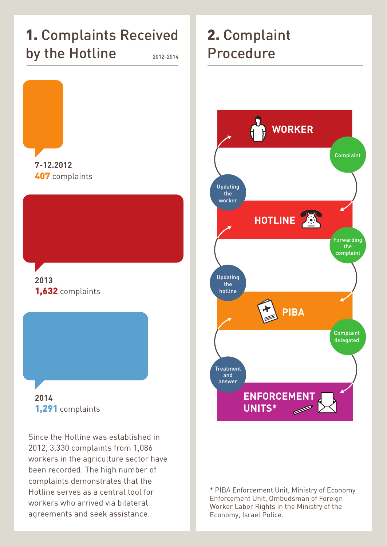#### 1. Complaints Received by the Hotline 2012-2014



407 complaints

#### **2013** 1,632 complaints



Since the Hotline was established in 2012, 3,330 complaints from 1,086 workers in the agriculture sector have been recorded. The high number of complaints demonstrates that the Hotline serves as a central tool for workers who arrived via bilateral agreements and seek assistance.

## 2. Complaint Procedure



\* PIBA Enforcement Unit, Ministry of Economy Enforcement Unit, Ombudsman of Foreign Worker Labor Rights in the Ministry of the Economy, Israel Police.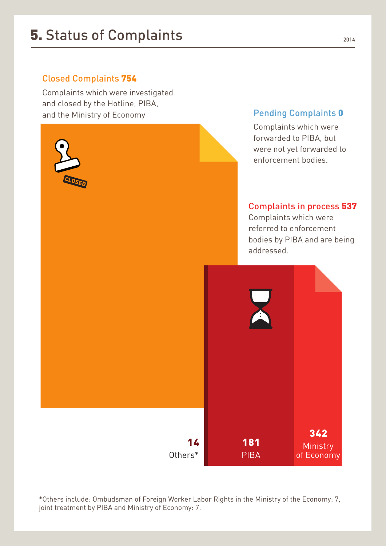#### **5.** Status of Complaints 2014

#### Closed Complaints 754

Complaints which were investigated and closed by the Hotline, PIBA, and the Ministry of Economy



\*Others include: Ombudsman of Foreign Worker Labor Rights in the Ministry of the Economy: 7, joint treatment by PIBA and Ministry of Economy: 7.

Pending Complaints 0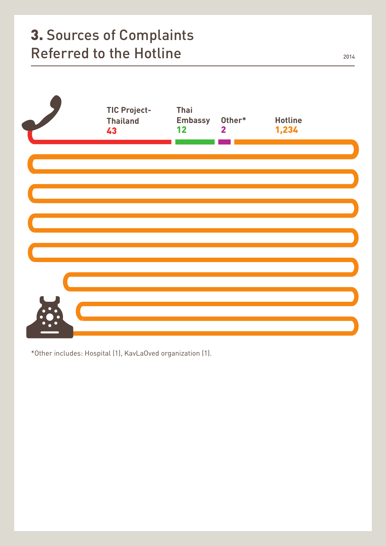### 3. Sources of Complaints Referred to the Hotline 2014



\*Other includes: Hospital (1), KavLaOved organization (1).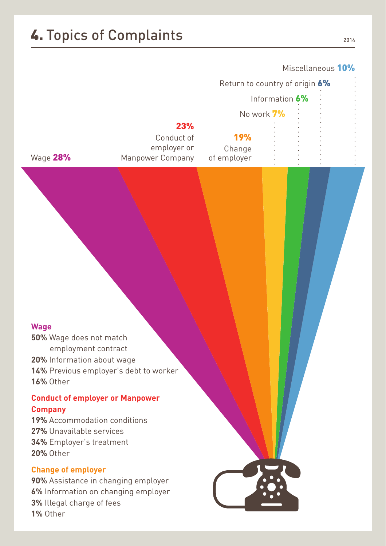## **4. Topics of Complaints** 2014